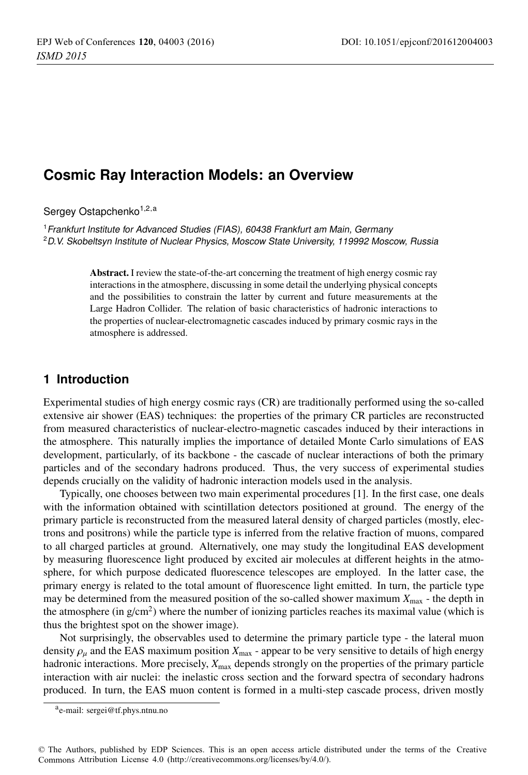# **Cosmic Ray Interaction Models: an Overview**

Sergey Ostapchenko<sup>1,2,a</sup>

<sup>1</sup> Frankfurt Institute for Advanced Studies (FIAS), 60438 Frankfurt am Main, Germany <sup>2</sup>D.V. Skobeltsyn Institute of Nuclear Physics, Moscow State University, <sup>119992</sup> Moscow, Russia

> Abstract. I review the state-of-the-art concerning the treatment of high energy cosmic ray interactions in the atmosphere, discussing in some detail the underlying physical concepts and the possibilities to constrain the latter by current and future measurements at the Large Hadron Collider. The relation of basic characteristics of hadronic interactions to the properties of nuclear-electromagnetic cascades induced by primary cosmic rays in the atmosphere is addressed.

## **1 Introduction**

Experimental studies of high energy cosmic rays (CR) are traditionally performed using the so-called extensive air shower (EAS) techniques: the properties of the primary CR particles are reconstructed from measured characteristics of nuclear-electro-magnetic cascades induced by their interactions in the atmosphere. This naturally implies the importance of detailed Monte Carlo simulations of EAS development, particularly, of its backbone - the cascade of nuclear interactions of both the primary particles and of the secondary hadrons produced. Thus, the very success of experimental studies depends crucially on the validity of hadronic interaction models used in the analysis.

Typically, one chooses between two main experimental procedures [1]. In the first case, one deals with the information obtained with scintillation detectors positioned at ground. The energy of the primary particle is reconstructed from the measured lateral density of charged particles (mostly, electrons and positrons) while the particle type is inferred from the relative fraction of muons, compared to all charged particles at ground. Alternatively, one may study the longitudinal EAS development by measuring fluorescence light produced by excited air molecules at different heights in the atmosphere, for which purpose dedicated fluorescence telescopes are employed. In the latter case, the primary energy is related to the total amount of fluorescence light emitted. In turn, the particle type may be determined from the measured position of the so-called shower maximum  $X_{\text{max}}$  - the depth in the atmosphere (in  $g/cm<sup>2</sup>$ ) where the number of ionizing particles reaches its maximal value (which is thus the brightest spot on the shower image).

Not surprisingly, the observables used to determine the primary particle type - the lateral muon density  $\rho_{\mu}$  and the EAS maximum position  $X_{\text{max}}$  - appear to be very sensitive to details of high energy hadronic interactions. More precisely, *X*max depends strongly on the properties of the primary particle interaction with air nuclei: the inelastic cross section and the forward spectra of secondary hadrons produced. In turn, the EAS muon content is formed in a multi-step cascade process, driven mostly

ae-mail: [sergei@tf.phys.ntnu.no](mailto:sergei@tf.phys.ntnu.no)

<sup>©</sup> The Authors, published by EDP Sciences. This is an open access article distributed under the terms of the Creative Commons Attribution License 4.0 ([http://creativecommons.org/licenses/by/4.0/\).](http://creativecommons.org/licenses/by/4.0/)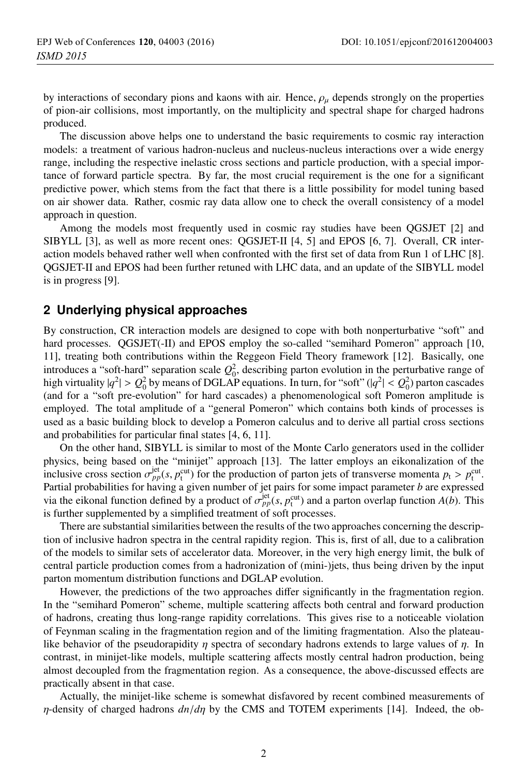by interactions of secondary pions and kaons with air. Hence,  $\rho_{\mu}$  depends strongly on the properties of pion-air collisions, most importantly, on the multiplicity and spectral shape for charged hadrons produced.

The discussion above helps one to understand the basic requirements to cosmic ray interaction models: a treatment of various hadron-nucleus and nucleus-nucleus interactions over a wide energy range, including the respective inelastic cross sections and particle production, with a special importance of forward particle spectra. By far, the most crucial requirement is the one for a significant predictive power, which stems from the fact that there is a little possibility for model tuning based on air shower data. Rather, cosmic ray data allow one to check the overall consistency of a model approach in question.

Among the models most frequently used in cosmic ray studies have been QGSJET [2] and SIBYLL [3], as well as more recent ones: QGSJET-II [4, 5] and EPOS [6, 7]. Overall, CR interaction models behaved rather well when confronted with the first set of data from Run 1 of LHC [8]. QGSJET-II and EPOS had been further retuned with LHC data, and an update of the SIBYLL model is in progress [9].

## **2 Underlying physical approaches**

By construction, CR interaction models are designed to cope with both nonperturbative "soft" and hard processes. QGSJET(-II) and EPOS employ the so-called "semihard Pomeron" approach [10, 11], treating both contributions within the Reggeon Field Theory framework [12]. Basically, one introduces a "soft-hard" separation scale  $Q_0^2$ , describing parton evolution in the perturbative range of high virtuality  $|q^2| > Q_0^2$  by means of DGLAP equations. In turn, for "soft"  $(|q^2| < Q_0^2)$  parton cascades (and for a "soft pre-evolution" for hard cascades) a phenomenological soft Pomeron amplitude is employed. The total amplitude of a "general Pomeron" which contains both kinds of processes is used as a basic building block to develop a Pomeron calculus and to derive all partial cross sections and probabilities for particular final states [4, 6, 11].

On the other hand, SIBYLL is similar to most of the Monte Carlo generators used in the collider physics, being based on the "minijet" approach [13]. The latter employs an eikonalization of the inclusive cross section  $\sigma_{pp}^{jet}(s, p_t^{cut})$  for the production of parton jets of transverse momenta  $p_t > p_t^{cut}$ . Partial probabilities for having a given number of jet pairs for some impact parameter *b* are expressed via the eikonal function defined by a product of  $\sigma_{pp}^{jet}(s, p_t^{cut})$  and a parton overlap function  $A(b)$ . This is further supplemented by a simplified treatment of soft processes.

There are substantial similarities between the results of the two approaches concerning the description of inclusive hadron spectra in the central rapidity region. This is, first of all, due to a calibration of the models to similar sets of accelerator data. Moreover, in the very high energy limit, the bulk of central particle production comes from a hadronization of (mini-)jets, thus being driven by the input parton momentum distribution functions and DGLAP evolution.

However, the predictions of the two approaches differ significantly in the fragmentation region. In the "semihard Pomeron" scheme, multiple scattering affects both central and forward production of hadrons, creating thus long-range rapidity correlations. This gives rise to a noticeable violation of Feynman scaling in the fragmentation region and of the limiting fragmentation. Also the plateaulike behavior of the pseudorapidity  $\eta$  spectra of secondary hadrons extends to large values of  $\eta$ . In contrast, in minijet-like models, multiple scattering affects mostly central hadron production, being almost decoupled from the fragmentation region. As a consequence, the above-discussed effects are practically absent in that case.

Actually, the minijet-like scheme is somewhat disfavored by recent combined measurements of η-density of charged hadrons *dn*/*d*η by the CMS and TOTEM experiments [14]. Indeed, the ob-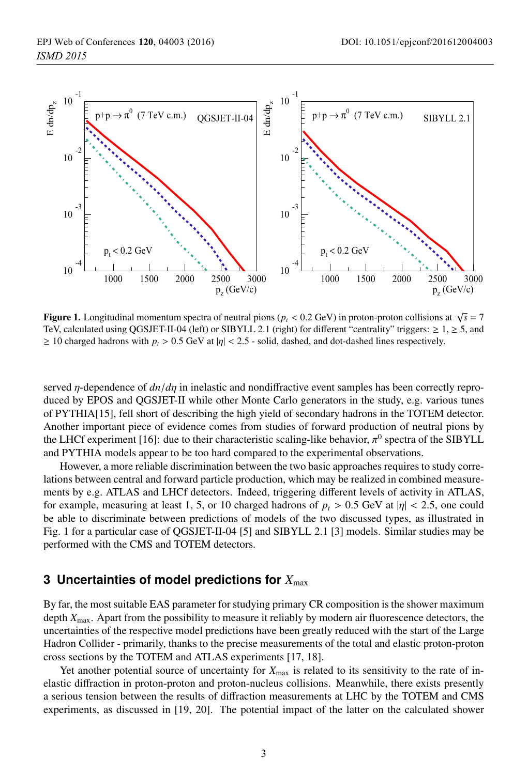

**Figure 1.** Longitudinal momentum spectra of neutral pions ( $p_t < 0.2$  GeV) in proton-proton collisions at  $\sqrt{s} = 7$ TeV, calculated using QGSJET-II-04 (left) or SIBYLL 2.1 (right) for different "centrality" triggers:  $\geq 1$ ,  $\geq 5$ , and  $\geq 10$  charged hadrons with  $p_t > 0.5$  GeV at  $|\eta| < 2.5$  - solid, dashed, and dot-dashed lines respectively.

served η-dependence of *dn*/*d*η in inelastic and nondiffractive event samples has been correctly reproduced by EPOS and QGSJET-II while other Monte Carlo generators in the study, e.g. various tunes of PYTHIA[15], fell short of describing the high yield of secondary hadrons in the TOTEM detector. Another important piece of evidence comes from studies of forward production of neutral pions by the LHCf experiment [16]: due to their characteristic scaling-like behavior,  $\pi^0$  spectra of the SIBYLL and PYTHIA models appear to be too hard compared to the experimental observations.

However, a more reliable discrimination between the two basic approaches requires to study correlations between central and forward particle production, which may be realized in combined measurements by e.g. ATLAS and LHCf detectors. Indeed, triggering different levels of activity in ATLAS, for example, measuring at least 1, 5, or 10 charged hadrons of  $p_t > 0.5$  GeV at  $|\eta| < 2.5$ , one could be able to discriminate between predictions of models of the two discussed types, as illustrated in Fig. 1 for a particular case of QGSJET-II-04 [5] and SIBYLL 2.1 [3] models. Similar studies may be performed with the CMS and TOTEM detectors.

## **3 Uncertainties of model predictions for**  $X_{\text{max}}$

By far, the most suitable EAS parameter for studying primary CR composition is the shower maximum depth *X*max. Apart from the possibility to measure it reliably by modern air fluorescence detectors, the uncertainties of the respective model predictions have been greatly reduced with the start of the Large Hadron Collider - primarily, thanks to the precise measurements of the total and elastic proton-proton cross sections by the TOTEM and ATLAS experiments [17, 18].

Yet another potential source of uncertainty for  $X_{\text{max}}$  is related to its sensitivity to the rate of inelastic diffraction in proton-proton and proton-nucleus collisions. Meanwhile, there exists presently a serious tension between the results of diffraction measurements at LHC by the TOTEM and CMS experiments, as discussed in [19, 20]. The potential impact of the latter on the calculated shower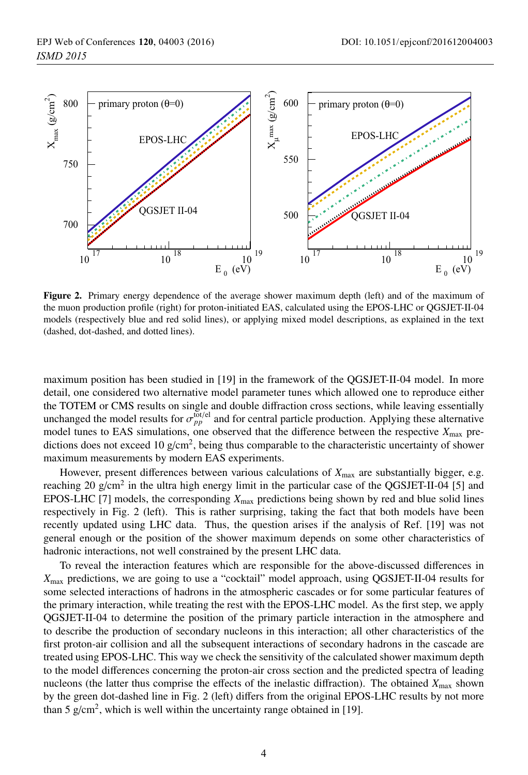

Figure 2. Primary energy dependence of the average shower maximum depth (left) and of the maximum of the muon production profile (right) for proton-initiated EAS, calculated using the EPOS-LHC or QGSJET-II-04 models (respectively blue and red solid lines), or applying mixed model descriptions, as explained in the text (dashed, dot-dashed, and dotted lines).

maximum position has been studied in [19] in the framework of the QGSJET-II-04 model. In more detail, one considered two alternative model parameter tunes which allowed one to reproduce either the TOTEM or CMS results on single and double diffraction cross sections, while leaving essentially unchanged the model results for  $\sigma_{pp}^{\text{tot/el}}$  and for central particle production. Applying these alternative model tunes to EAS simulations, one observed that the difference between the respective  $X_{\text{max}}$  predictions does not exceed 10  $g/cm<sup>2</sup>$ , being thus comparable to the characteristic uncertainty of shower maximum measurements by modern EAS experiments.

However, present differences between various calculations of  $X_{\text{max}}$  are substantially bigger, e.g. reaching 20  $g/cm<sup>2</sup>$  in the ultra high energy limit in the particular case of the QGSJET-II-04 [5] and EPOS-LHC [7] models, the corresponding  $X_{\text{max}}$  predictions being shown by red and blue solid lines respectively in Fig. 2 (left). This is rather surprising, taking the fact that both models have been recently updated using LHC data. Thus, the question arises if the analysis of Ref. [19] was not general enough or the position of the shower maximum depends on some other characteristics of hadronic interactions, not well constrained by the present LHC data.

To reveal the interaction features which are responsible for the above-discussed differences in *X*max predictions, we are going to use a "cocktail" model approach, using QGSJET-II-04 results for some selected interactions of hadrons in the atmospheric cascades or for some particular features of the primary interaction, while treating the rest with the EPOS-LHC model. As the first step, we apply QGSJET-II-04 to determine the position of the primary particle interaction in the atmosphere and to describe the production of secondary nucleons in this interaction; all other characteristics of the first proton-air collision and all the subsequent interactions of secondary hadrons in the cascade are treated using EPOS-LHC. This way we check the sensitivity of the calculated shower maximum depth to the model differences concerning the proton-air cross section and the predicted spectra of leading nucleons (the latter thus comprise the effects of the inelastic diffraction). The obtained  $X_{\text{max}}$  shown by the green dot-dashed line in Fig. 2 (left) differs from the original EPOS-LHC results by not more than 5 g/cm<sup>2</sup>, which is well within the uncertainty range obtained in [19].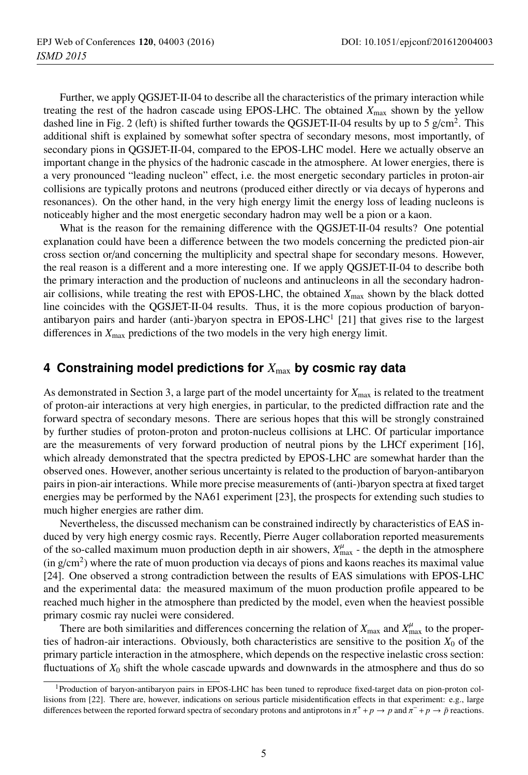Further, we apply QGSJET-II-04 to describe all the characteristics of the primary interaction while treating the rest of the hadron cascade using EPOS-LHC. The obtained  $X_{\text{max}}$  shown by the yellow dashed line in Fig. 2 (left) is shifted further towards the QGSJET-II-04 results by up to 5 g/cm<sup>2</sup>. This additional shift is explained by somewhat softer spectra of secondary mesons, most importantly, of secondary pions in QGSJET-II-04, compared to the EPOS-LHC model. Here we actually observe an important change in the physics of the hadronic cascade in the atmosphere. At lower energies, there is a very pronounced "leading nucleon" effect, i.e. the most energetic secondary particles in proton-air collisions are typically protons and neutrons (produced either directly or via decays of hyperons and resonances). On the other hand, in the very high energy limit the energy loss of leading nucleons is noticeably higher and the most energetic secondary hadron may well be a pion or a kaon.

What is the reason for the remaining difference with the QGSJET-II-04 results? One potential explanation could have been a difference between the two models concerning the predicted pion-air cross section or/and concerning the multiplicity and spectral shape for secondary mesons. However, the real reason is a different and a more interesting one. If we apply QGSJET-II-04 to describe both the primary interaction and the production of nucleons and antinucleons in all the secondary hadronair collisions, while treating the rest with EPOS-LHC, the obtained *X*max shown by the black dotted line coincides with the QGSJET-II-04 results. Thus, it is the more copious production of baryonantibaryon pairs and harder (anti-)baryon spectra in EPOS-LHC<sup>1</sup> [21] that gives rise to the largest differences in *X*max predictions of the two models in the very high energy limit.

#### **4 Constraining model predictions for** *X*max **by cosmic ray data**

As demonstrated in Section 3, a large part of the model uncertainty for  $X_{\text{max}}$  is related to the treatment of proton-air interactions at very high energies, in particular, to the predicted diffraction rate and the forward spectra of secondary mesons. There are serious hopes that this will be strongly constrained by further studies of proton-proton and proton-nucleus collisions at LHC. Of particular importance are the measurements of very forward production of neutral pions by the LHCf experiment [16], which already demonstrated that the spectra predicted by EPOS-LHC are somewhat harder than the observed ones. However, another serious uncertainty is related to the production of baryon-antibaryon pairs in pion-air interactions. While more precise measurements of (anti-)baryon spectra at fixed target energies may be performed by the NA61 experiment [23], the prospects for extending such studies to much higher energies are rather dim.

Nevertheless, the discussed mechanism can be constrained indirectly by characteristics of EAS induced by very high energy cosmic rays. Recently, Pierre Auger collaboration reported measurements of the so-called maximum muon production depth in air showers,  $X_{\text{max}}^{\mu}$  - the depth in the atmosphere  $(in g/cm<sup>2</sup>)$  where the rate of muon production via decays of pions and kaons reaches its maximal value [24]. One observed a strong contradiction between the results of EAS simulations with EPOS-LHC and the experimental data: the measured maximum of the muon production profile appeared to be reached much higher in the atmosphere than predicted by the model, even when the heaviest possible primary cosmic ray nuclei were considered.

There are both similarities and differences concerning the relation of  $X_{\text{max}}$  and  $X_{\text{max}}^{\mu}$  to the properties of hadron-air interactions. Obviously, both characteristics are sensitive to the position  $X_0$  of the primary particle interaction in the atmosphere, which depends on the respective inelastic cross section: fluctuations of *X*<sup>0</sup> shift the whole cascade upwards and downwards in the atmosphere and thus do so

<sup>1</sup>Production of baryon-antibaryon pairs in EPOS-LHC has been tuned to reproduce fixed-target data on pion-proton collisions from [22]. There are, however, indications on serious particle misidentification effects in that experiment: e.g., large differences between the reported forward spectra of secondary protons and antiprotons in  $\pi^+ + p \to p$  and  $\pi^- + p \to \bar{p}$  reactions.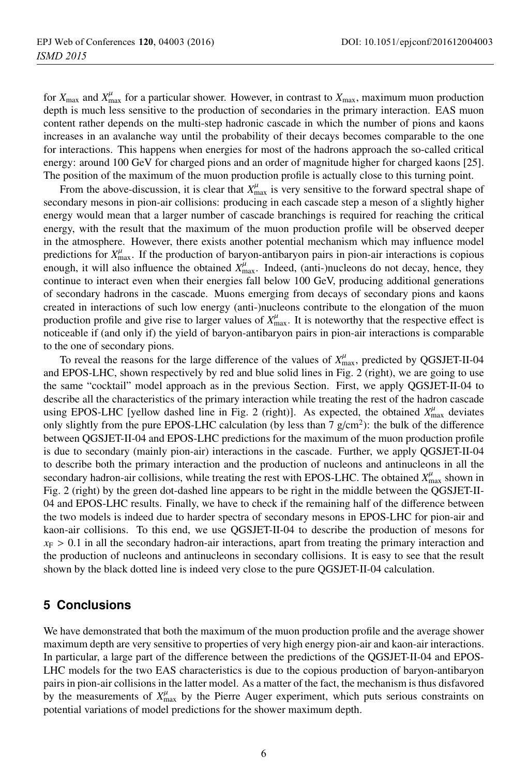for  $X_{\text{max}}$  and  $X_{\text{max}}^{\mu}$  for a particular shower. However, in contrast to  $X_{\text{max}}$ , maximum muon production depth is much less sensitive to the production of secondaries in the primary interaction. EAS muon content rather depends on the multi-step hadronic cascade in which the number of pions and kaons increases in an avalanche way until the probability of their decays becomes comparable to the one for interactions. This happens when energies for most of the hadrons approach the so-called critical energy: around 100 GeV for charged pions and an order of magnitude higher for charged kaons [25]. The position of the maximum of the muon production profile is actually close to this turning point.

From the above-discussion, it is clear that  $X_{\text{max}}^{\mu}$  is very sensitive to the forward spectral shape of secondary mesons in pion-air collisions: producing in each cascade step a meson of a slightly higher energy would mean that a larger number of cascade branchings is required for reaching the critical energy, with the result that the maximum of the muon production profile will be observed deeper in the atmosphere. However, there exists another potential mechanism which may influence model predictions for  $X_{\text{max}}^{\mu}$ . If the production of baryon-antibaryon pairs in pion-air interactions is copious enough, it will also influence the obtained  $X_{\text{max}}^{\mu}$ . Indeed, (anti-)nucleons do not decay, hence, they continue to interact even when their energies fall below 100 GeV, producing additional generations of secondary hadrons in the cascade. Muons emerging from decays of secondary pions and kaons created in interactions of such low energy (anti-)nucleons contribute to the elongation of the muon production profile and give rise to larger values of  $X_{\text{max}}^{\mu}$ . It is noteworthy that the respective effect is noticeable if (and only if) the yield of baryon-antibaryon pairs in pion-air interactions is comparable to the one of secondary pions.

To reveal the reasons for the large difference of the values of  $X_{\text{max}}^{\mu}$ , predicted by QGSJET-II-04 and EPOS-LHC, shown respectively by red and blue solid lines in Fig. 2 (right), we are going to use the same "cocktail" model approach as in the previous Section. First, we apply QGSJET-II-04 to describe all the characteristics of the primary interaction while treating the rest of the hadron cascade using EPOS-LHC [yellow dashed line in Fig. 2 (right)]. As expected, the obtained  $X_{\text{max}}^{\mu}$  deviates only slightly from the pure EPOS-LHC calculation (by less than  $7 \text{ g/cm}^2$ ): the bulk of the difference between QGSJET-II-04 and EPOS-LHC predictions for the maximum of the muon production profile is due to secondary (mainly pion-air) interactions in the cascade. Further, we apply QGSJET-II-04 to describe both the primary interaction and the production of nucleons and antinucleons in all the secondary hadron-air collisions, while treating the rest with EPOS-LHC. The obtained  $X_{\text{max}}^{\mu}$  shown in Fig. 2 (right) by the green dot-dashed line appears to be right in the middle between the QGSJET-II-04 and EPOS-LHC results. Finally, we have to check if the remaining half of the difference between the two models is indeed due to harder spectra of secondary mesons in EPOS-LHC for pion-air and kaon-air collisions. To this end, we use QGSJET-II-04 to describe the production of mesons for  $x_F > 0.1$  in all the secondary hadron-air interactions, apart from treating the primary interaction and the production of nucleons and antinucleons in secondary collisions. It is easy to see that the result shown by the black dotted line is indeed very close to the pure QGSJET-II-04 calculation.

## **5 Conclusions**

We have demonstrated that both the maximum of the muon production profile and the average shower maximum depth are very sensitive to properties of very high energy pion-air and kaon-air interactions. In particular, a large part of the difference between the predictions of the QGSJET-II-04 and EPOS-LHC models for the two EAS characteristics is due to the copious production of baryon-antibaryon pairs in pion-air collisions in the latter model. As a matter of the fact, the mechanism is thus disfavored by the measurements of  $X_{\text{max}}^{\mu}$  by the Pierre Auger experiment, which puts serious constraints on potential variations of model predictions for the shower maximum depth.